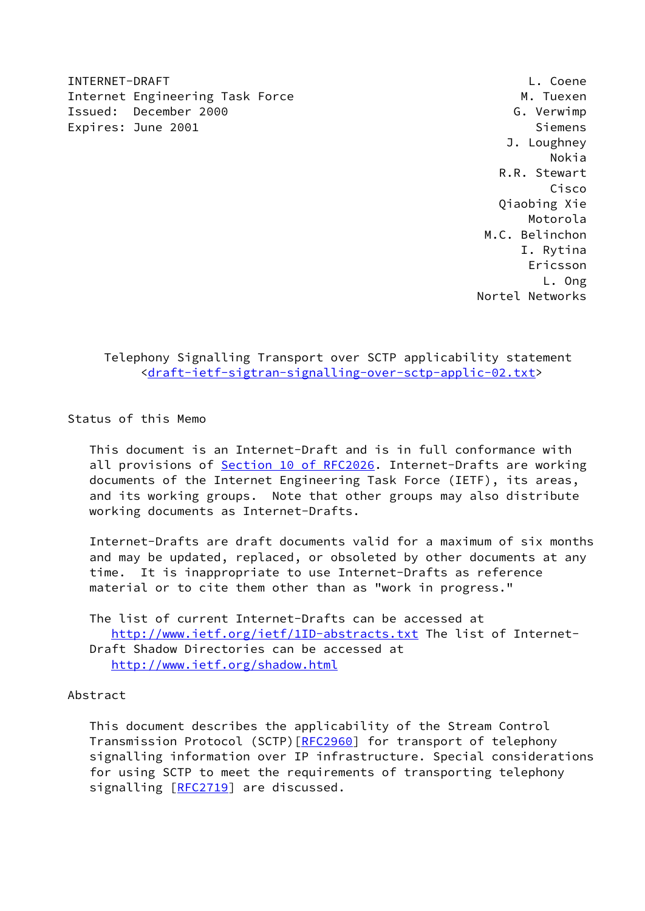INTERNET-DRAFT L. Coene Internet Engineering Task Force Manual Communication of M. Tuexen Issued: December 2000 G. Verwimp Expires: June 2001 Siemens

 J. Loughney Nokia R.R. Stewart Cisco Qiaobing Xie Motorola M.C. Belinchon I. Rytina Ericsson L. Ong Nortel Networks

 Telephony Signalling Transport over SCTP applicability statement [<draft-ietf-sigtran-signalling-over-sctp-applic-02.txt](https://datatracker.ietf.org/doc/pdf/draft-ietf-sigtran-signalling-over-sctp-applic-02.txt)>

Status of this Memo

 This document is an Internet-Draft and is in full conformance with all provisions of Section [10 of RFC2026.](https://datatracker.ietf.org/doc/pdf/rfc2026#section-10) Internet-Drafts are working documents of the Internet Engineering Task Force (IETF), its areas, and its working groups. Note that other groups may also distribute working documents as Internet-Drafts.

 Internet-Drafts are draft documents valid for a maximum of six months and may be updated, replaced, or obsoleted by other documents at any time. It is inappropriate to use Internet-Drafts as reference material or to cite them other than as "work in progress."

 The list of current Internet-Drafts can be accessed at <http://www.ietf.org/ietf/1ID-abstracts.txt>The list of Internet- Draft Shadow Directories can be accessed at <http://www.ietf.org/shadow.html>

# Abstract

 This document describes the applicability of the Stream Control Transmission Protocol (SCTP) [\[RFC2960](https://datatracker.ietf.org/doc/pdf/rfc2960)] for transport of telephony signalling information over IP infrastructure. Special considerations for using SCTP to meet the requirements of transporting telephony signalling [[RFC2719\]](https://datatracker.ietf.org/doc/pdf/rfc2719) are discussed.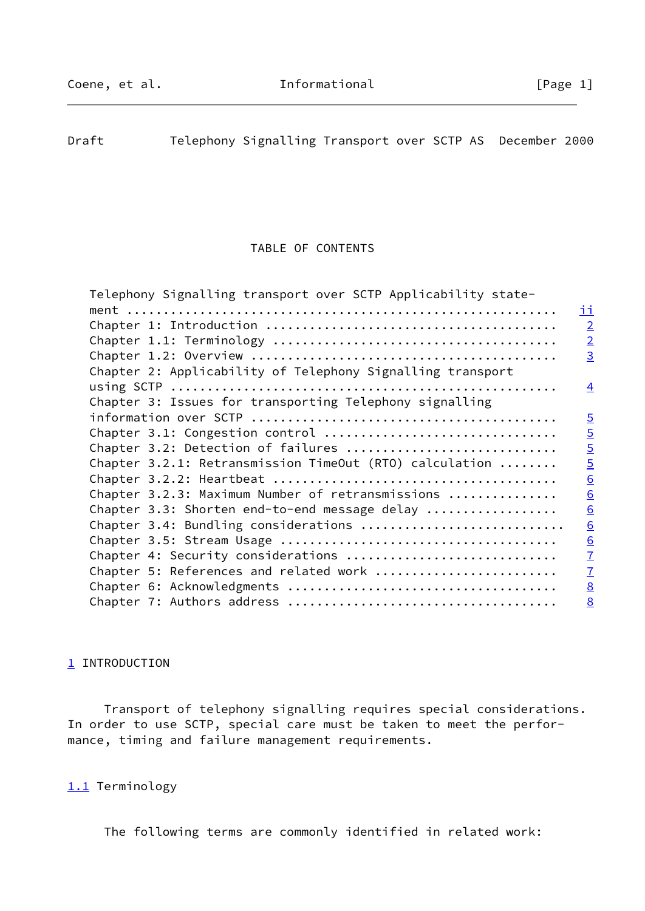<span id="page-1-0"></span>Draft Telephony Signalling Transport over SCTP AS December 2000

### TABLE OF CONTENTS

| Telephony Signalling transport over SCTP Applicability state- |                 |
|---------------------------------------------------------------|-----------------|
|                                                               | <u>ii</u>       |
|                                                               | $\overline{2}$  |
|                                                               | $\overline{2}$  |
|                                                               | $\overline{3}$  |
| Chapter 2: Applicability of Telephony Signalling transport    |                 |
|                                                               | $\overline{4}$  |
| Chapter 3: Issues for transporting Telephony signalling       |                 |
|                                                               | $\overline{5}$  |
| Chapter 3.1: Congestion control                               | $\overline{5}$  |
| Chapter 3.2: Detection of failures                            | $\overline{5}$  |
| Chapter 3.2.1: Retransmission TimeOut (RTO) calculation       | $\overline{5}$  |
|                                                               | $\underline{6}$ |
| Chapter 3.2.3: Maximum Number of retransmissions              | 6               |
| Chapter 3.3: Shorten end-to-end message delay                 | 6               |
| Chapter 3.4: Bundling considerations                          | 6               |
|                                                               | $\underline{6}$ |
| Chapter 4: Security considerations                            | $\overline{1}$  |
| Chapter 5: References and related work                        | $\overline{1}$  |
|                                                               | $\underline{8}$ |
|                                                               | 8               |
|                                                               |                 |

## <span id="page-1-1"></span>[1](#page-1-1) INTRODUCTION

 Transport of telephony signalling requires special considerations. In order to use SCTP, special care must be taken to meet the performance, timing and failure management requirements.

## <span id="page-1-2"></span>[1.1](#page-1-2) Terminology

The following terms are commonly identified in related work: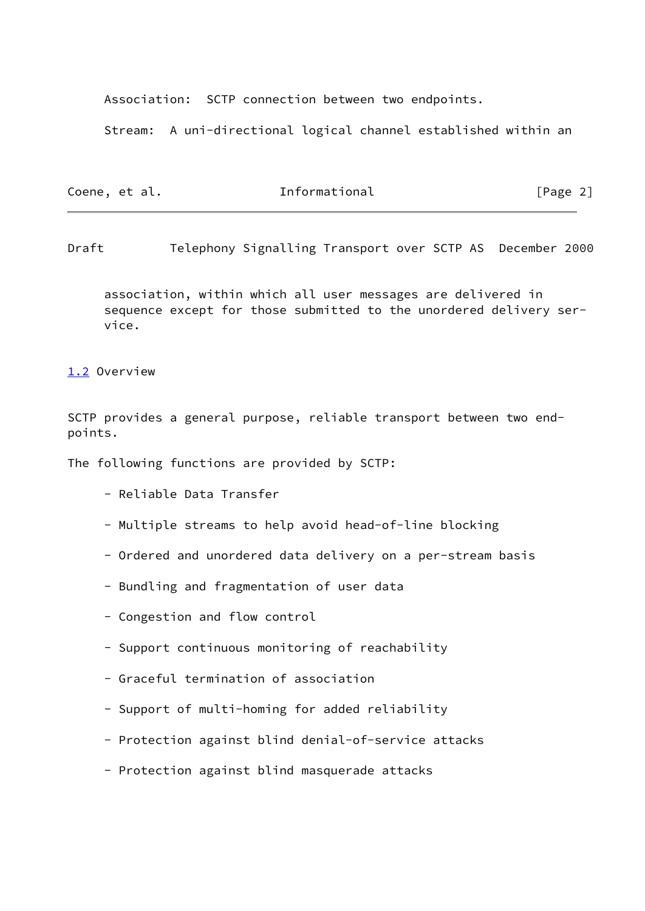Association: SCTP connection between two endpoints.

Stream: A uni-directional logical channel established within an

| Coene, et al. | Informational | [Page 2] |
|---------------|---------------|----------|
|               |               |          |

<span id="page-2-0"></span>Draft Telephony Signalling Transport over SCTP AS December 2000

 association, within which all user messages are delivered in sequence except for those submitted to the unordered delivery ser vice.

<span id="page-2-1"></span>[1.2](#page-2-1) Overview

SCTP provides a general purpose, reliable transport between two endpoints.

The following functions are provided by SCTP:

- Reliable Data Transfer
- Multiple streams to help avoid head-of-line blocking
- Ordered and unordered data delivery on a per-stream basis
- Bundling and fragmentation of user data
- Congestion and flow control
- Support continuous monitoring of reachability
- Graceful termination of association
- Support of multi-homing for added reliability
- Protection against blind denial-of-service attacks
- Protection against blind masquerade attacks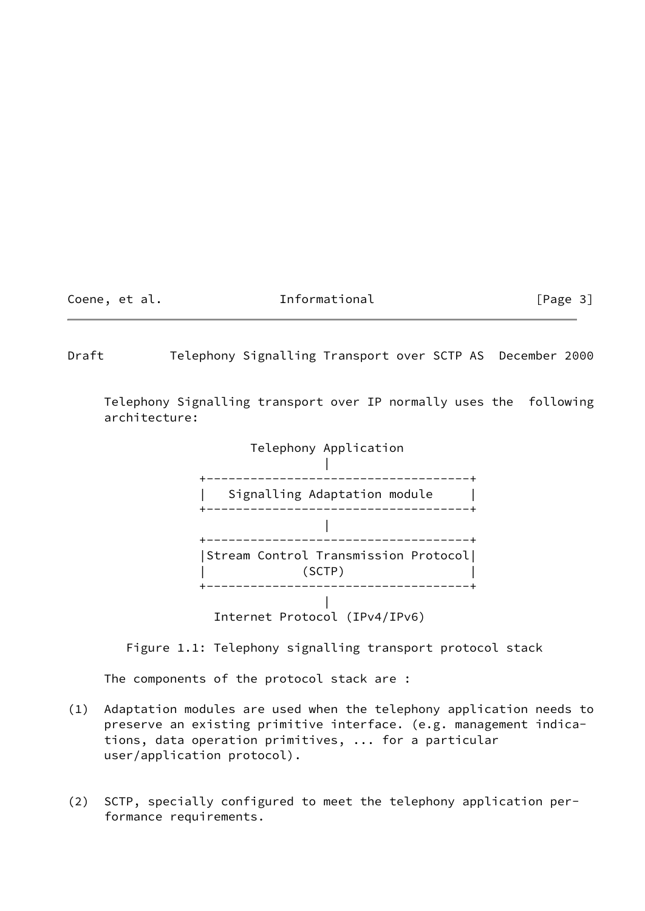Coene, et al. The Informational The Informational [Page 3]

<span id="page-3-0"></span>Draft Telephony Signalling Transport over SCTP AS December 2000

 Telephony Signalling transport over IP normally uses the following architecture:



Figure 1.1: Telephony signalling transport protocol stack

The components of the protocol stack are :

- (1) Adaptation modules are used when the telephony application needs to preserve an existing primitive interface. (e.g. management indica tions, data operation primitives, ... for a particular user/application protocol).
- (2) SCTP, specially configured to meet the telephony application per formance requirements.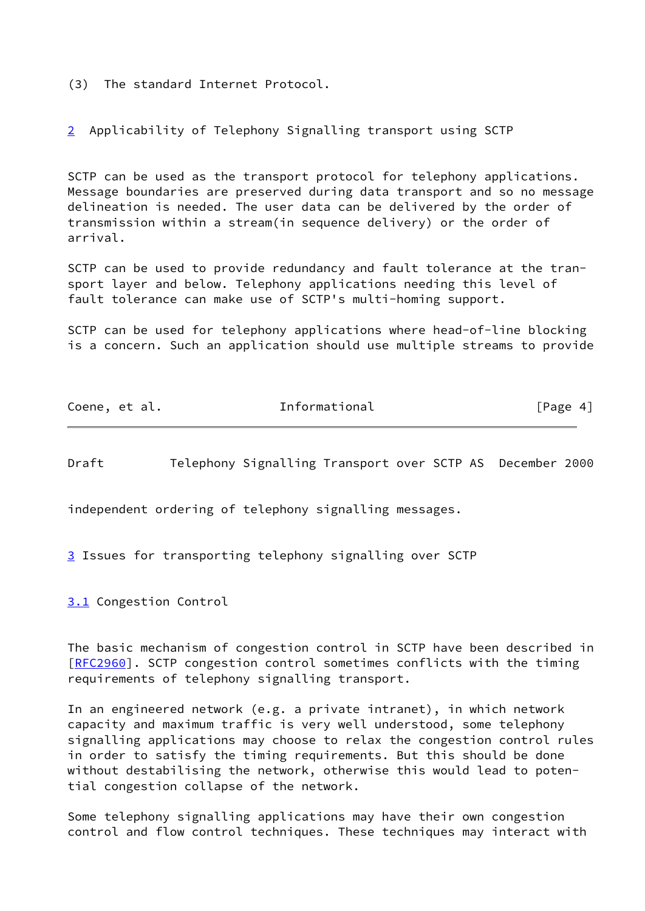(3) The standard Internet Protocol.

<span id="page-4-1"></span>[2](#page-4-1) Applicability of Telephony Signalling transport using SCTP

SCTP can be used as the transport protocol for telephony applications. Message boundaries are preserved during data transport and so no message delineation is needed. The user data can be delivered by the order of transmission within a stream(in sequence delivery) or the order of arrival.

SCTP can be used to provide redundancy and fault tolerance at the transport layer and below. Telephony applications needing this level of fault tolerance can make use of SCTP's multi-homing support.

SCTP can be used for telephony applications where head-of-line blocking is a concern. Such an application should use multiple streams to provide

| Coene, et al. | Informational | [Page 4] |
|---------------|---------------|----------|
|               |               |          |

<span id="page-4-0"></span>Draft Telephony Signalling Transport over SCTP AS December 2000

independent ordering of telephony signalling messages.

<span id="page-4-2"></span>[3](#page-4-2) Issues for transporting telephony signalling over SCTP

<span id="page-4-3"></span>[3.1](#page-4-3) Congestion Control

The basic mechanism of congestion control in SCTP have been described in [\[RFC2960](https://datatracker.ietf.org/doc/pdf/rfc2960)]. SCTP congestion control sometimes conflicts with the timing requirements of telephony signalling transport.

In an engineered network (e.g. a private intranet), in which network capacity and maximum traffic is very well understood, some telephony signalling applications may choose to relax the congestion control rules in order to satisfy the timing requirements. But this should be done without destabilising the network, otherwise this would lead to potential congestion collapse of the network.

Some telephony signalling applications may have their own congestion control and flow control techniques. These techniques may interact with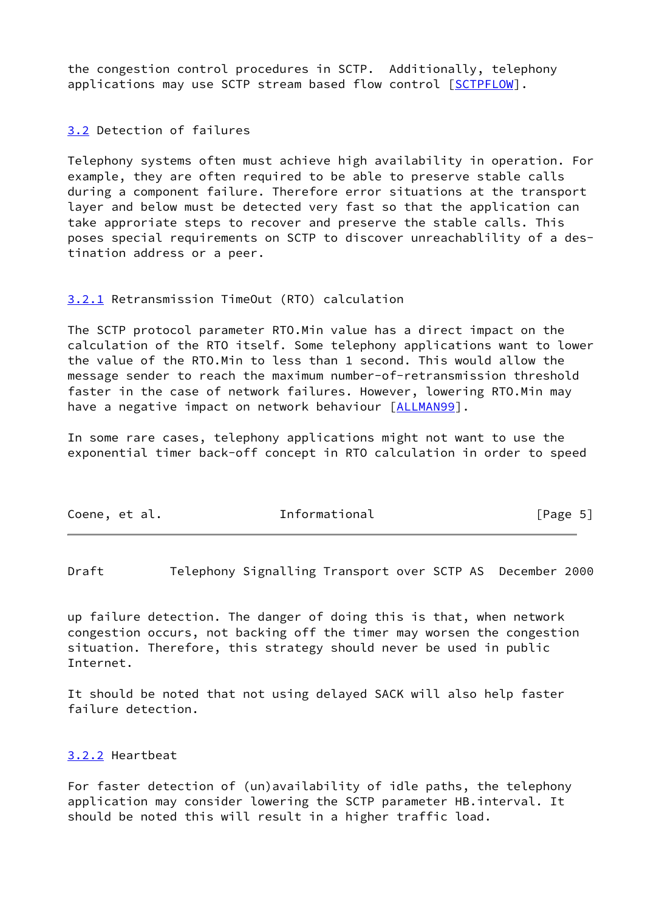the congestion control procedures in SCTP. Additionally, telephony applications may use SCTP stream based flow control [\[SCTPFLOW](#page-7-1)].

<span id="page-5-1"></span>[3.2](#page-5-1) Detection of failures

Telephony systems often must achieve high availability in operation. For example, they are often required to be able to preserve stable calls during a component failure. Therefore error situations at the transport layer and below must be detected very fast so that the application can take approriate steps to recover and preserve the stable calls. This poses special requirements on SCTP to discover unreachablility of a destination address or a peer.

### <span id="page-5-2"></span>[3.2.1](#page-5-2) Retransmission TimeOut (RTO) calculation

The SCTP protocol parameter RTO.Min value has a direct impact on the calculation of the RTO itself. Some telephony applications want to lower the value of the RTO.Min to less than 1 second. This would allow the message sender to reach the maximum number-of-retransmission threshold faster in the case of network failures. However, lowering RTO.Min may have a negative impact on network behaviour [\[ALLMAN99](#page-7-2)].

In some rare cases, telephony applications might not want to use the exponential timer back-off concept in RTO calculation in order to speed

| Coene, et al. | Informational | [Page 5] |  |
|---------------|---------------|----------|--|
|               |               |          |  |

<span id="page-5-0"></span>Draft Telephony Signalling Transport over SCTP AS December 2000

up failure detection. The danger of doing this is that, when network congestion occurs, not backing off the timer may worsen the congestion situation. Therefore, this strategy should never be used in public Internet.

It should be noted that not using delayed SACK will also help faster failure detection.

#### <span id="page-5-3"></span>[3.2.2](#page-5-3) Heartbeat

For faster detection of (un)availability of idle paths, the telephony application may consider lowering the SCTP parameter HB.interval. It should be noted this will result in a higher traffic load.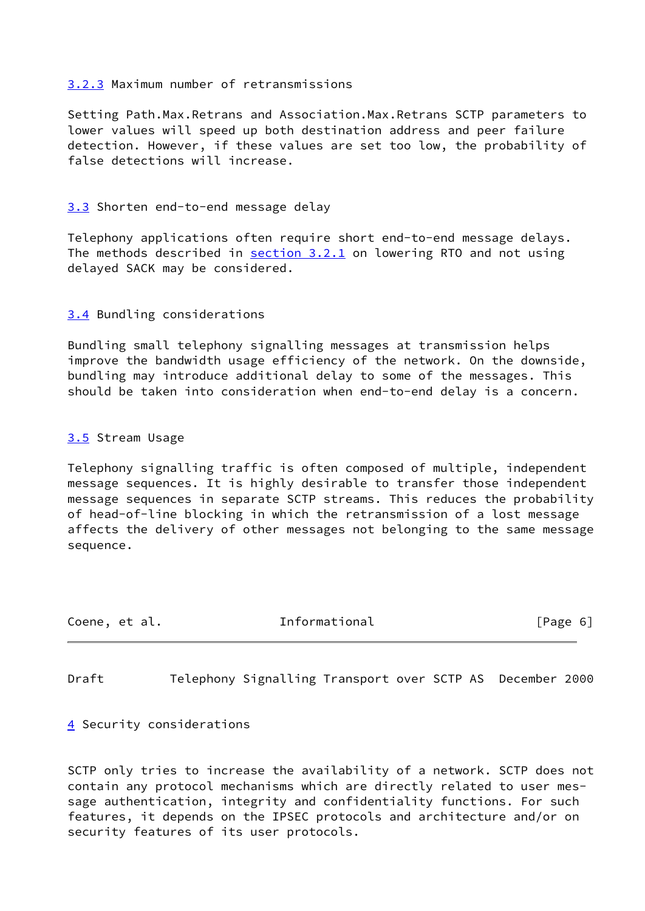## <span id="page-6-1"></span>[3.2.3](#page-6-1) Maximum number of retransmissions

Setting Path.Max.Retrans and Association.Max.Retrans SCTP parameters to lower values will speed up both destination address and peer failure detection. However, if these values are set too low, the probability of false detections will increase.

# <span id="page-6-2"></span>[3.3](#page-6-2) Shorten end-to-end message delay

Telephony applications often require short end-to-end message delays. The methods described in  $section 3.2.1$  on lowering RTO and not using delayed SACK may be considered.

# <span id="page-6-3"></span>[3.4](#page-6-3) Bundling considerations

Bundling small telephony signalling messages at transmission helps improve the bandwidth usage efficiency of the network. On the downside, bundling may introduce additional delay to some of the messages. This should be taken into consideration when end-to-end delay is a concern.

# <span id="page-6-4"></span>[3.5](#page-6-4) Stream Usage

Telephony signalling traffic is often composed of multiple, independent message sequences. It is highly desirable to transfer those independent message sequences in separate SCTP streams. This reduces the probability of head-of-line blocking in which the retransmission of a lost message affects the delivery of other messages not belonging to the same message sequence.

| Coene, et al. | Informational | [Page 6] |  |
|---------------|---------------|----------|--|
|               |               |          |  |

<span id="page-6-0"></span>Draft Telephony Signalling Transport over SCTP AS December 2000

<span id="page-6-5"></span>[4](#page-6-5) Security considerations

SCTP only tries to increase the availability of a network. SCTP does not contain any protocol mechanisms which are directly related to user message authentication, integrity and confidentiality functions. For such features, it depends on the IPSEC protocols and architecture and/or on security features of its user protocols.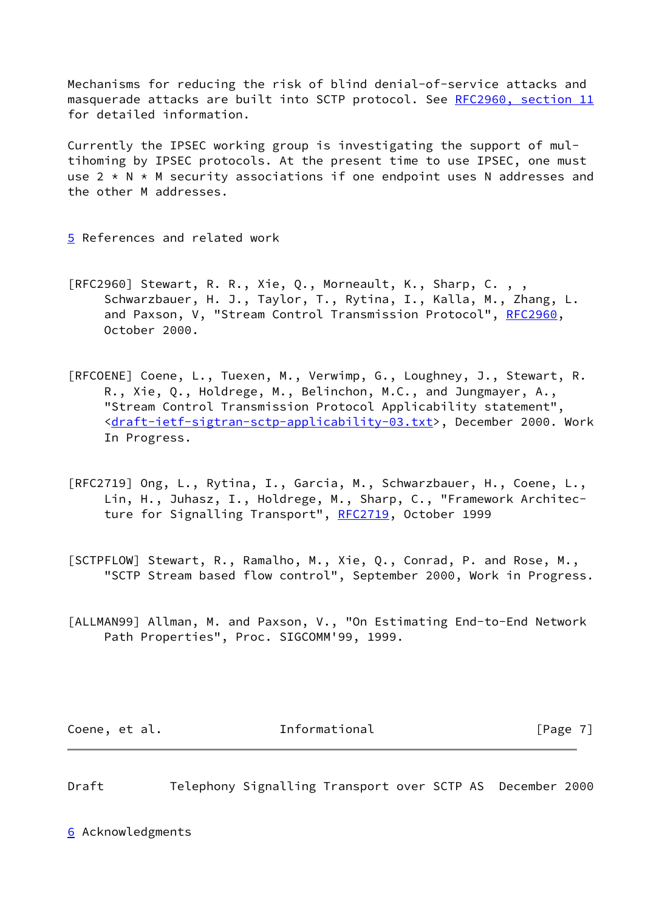Mechanisms for reducing the risk of blind denial-of-service attacks and masquerade attacks are built into SCTP protocol. See [RFC2960, section](https://datatracker.ietf.org/doc/pdf/rfc2960#section-11) 11 for detailed information.

Currently the IPSEC working group is investigating the support of multihoming by IPSEC protocols. At the present time to use IPSEC, one must use  $2 \times N \times M$  security associations if one endpoint uses N addresses and the other M addresses.

<span id="page-7-3"></span>[5](#page-7-3) References and related work

- [RFC2960] Stewart, R. R., Xie, Q., Morneault, K., Sharp, C. , , Schwarzbauer, H. J., Taylor, T., Rytina, I., Kalla, M., Zhang, L. and Paxson, V, "Stream Control Transmission Protocol", [RFC2960](https://datatracker.ietf.org/doc/pdf/rfc2960), October 2000.
- [RFCOENE] Coene, L., Tuexen, M., Verwimp, G., Loughney, J., Stewart, R. R., Xie, Q., Holdrege, M., Belinchon, M.C., and Jungmayer, A., "Stream Control Transmission Protocol Applicability statement", <[draft-ietf-sigtran-sctp-applicability-03.txt>](https://datatracker.ietf.org/doc/pdf/draft-ietf-sigtran-sctp-applicability-03.txt), December 2000. Work In Progress.
- [RFC2719] Ong, L., Rytina, I., Garcia, M., Schwarzbauer, H., Coene, L., Lin, H., Juhasz, I., Holdrege, M., Sharp, C., "Framework Architec- ture for Signalling Transport", [RFC2719](https://datatracker.ietf.org/doc/pdf/rfc2719), October 1999
- <span id="page-7-1"></span>[SCTPFLOW] Stewart, R., Ramalho, M., Xie, Q., Conrad, P. and Rose, M., "SCTP Stream based flow control", September 2000, Work in Progress.
- <span id="page-7-2"></span>[ALLMAN99] Allman, M. and Paxson, V., "On Estimating End-to-End Network Path Properties", Proc. SIGCOMM'99, 1999.

Coene, et al. The Informational The Informational [Page 7]

<span id="page-7-0"></span>Draft Telephony Signalling Transport over SCTP AS December 2000

<span id="page-7-4"></span>[6](#page-7-4) Acknowledgments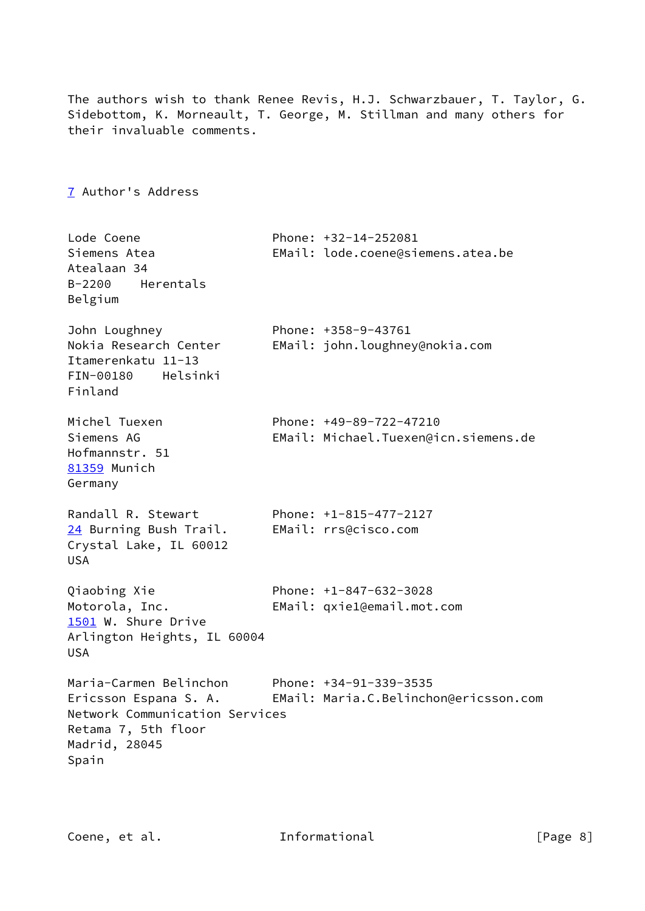<span id="page-8-3"></span><span id="page-8-2"></span><span id="page-8-1"></span><span id="page-8-0"></span>The authors wish to thank Renee Revis, H.J. Schwarzbauer, T. Taylor, G. Sidebottom, K. Morneault, T. George, M. Stillman and many others for their invaluable comments. [7](#page-8-0) Author's Address Lode Coene Phone: +32-14-252081 Siemens Atea EMail: lode.coene@siemens.atea.be Atealaan 34 B-2200 Herentals Belgium John Loughney Phone: +358-9-43761 Nokia Research Center EMail: john.loughney@nokia.com Itamerenkatu 11-13 FIN-00180 Helsinki Finland Michel Tuexen Phone: +49-89-722-47210 Siemens AG EMail: Michael.Tuexen@icn.siemens.de Hofmannstr. 51 [81359](#page-8-1) Munich Germany Randall R. Stewart Phone: +1-815-477-2127 [24](#page-8-2) Burning Bush Trail. EMail: rrs@cisco.com Crystal Lake, IL 60012 USA Qiaobing Xie Phone: +1-847-632-3028 Motorola, Inc. EMail: qxie1@email.mot.com [1501](#page-8-3) W. Shure Drive Arlington Heights, IL 60004 USA Maria-Carmen Belinchon Phone: +34-91-339-3535 Ericsson Espana S. A. EMail: Maria.C.Belinchon@ericsson.com Network Communication Services Retama 7, 5th floor Madrid, 28045 Spain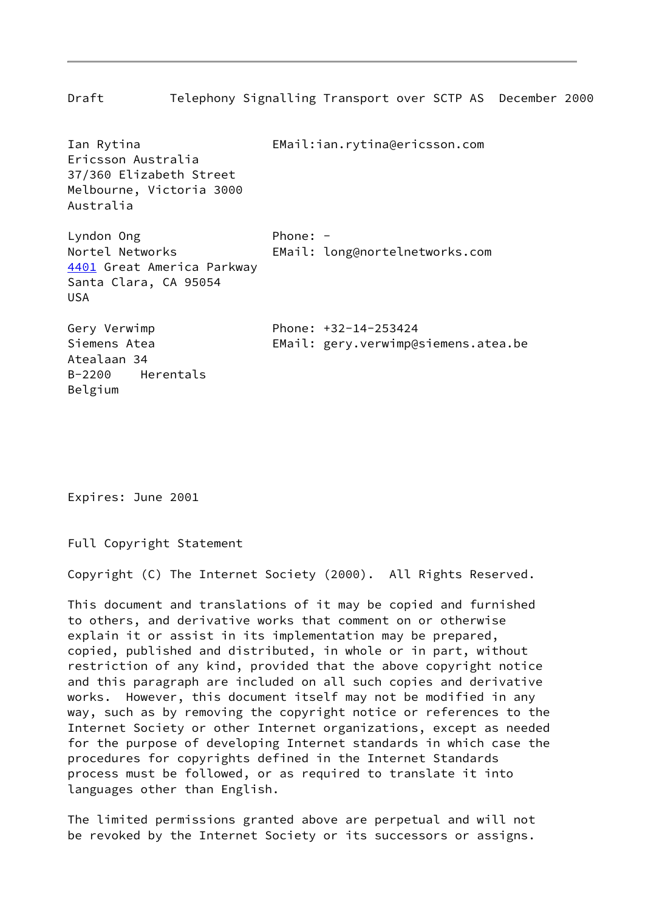<span id="page-9-0"></span>Draft Telephony Signalling Transport over SCTP AS December 2000 Ian Rytina EMail:ian.rytina@ericsson.com Ericsson Australia 37/360 Elizabeth Street Melbourne, Victoria 3000 Australia Lyndon Ong Phone: -Nortel Networks EMail: long@nortelnetworks.com [4401](#page-9-0) Great America Parkway Santa Clara, CA 95054 USA Gery Verwimp Phone: +32-14-253424 Siemens Atea EMail: gery.verwimp@siemens.atea.be Atealaan 34 B-2200 Herentals Belgium

Expires: June 2001

Full Copyright Statement

Copyright (C) The Internet Society (2000). All Rights Reserved.

This document and translations of it may be copied and furnished to others, and derivative works that comment on or otherwise explain it or assist in its implementation may be prepared, copied, published and distributed, in whole or in part, without restriction of any kind, provided that the above copyright notice and this paragraph are included on all such copies and derivative works. However, this document itself may not be modified in any way, such as by removing the copyright notice or references to the Internet Society or other Internet organizations, except as needed for the purpose of developing Internet standards in which case the procedures for copyrights defined in the Internet Standards process must be followed, or as required to translate it into languages other than English.

The limited permissions granted above are perpetual and will not be revoked by the Internet Society or its successors or assigns.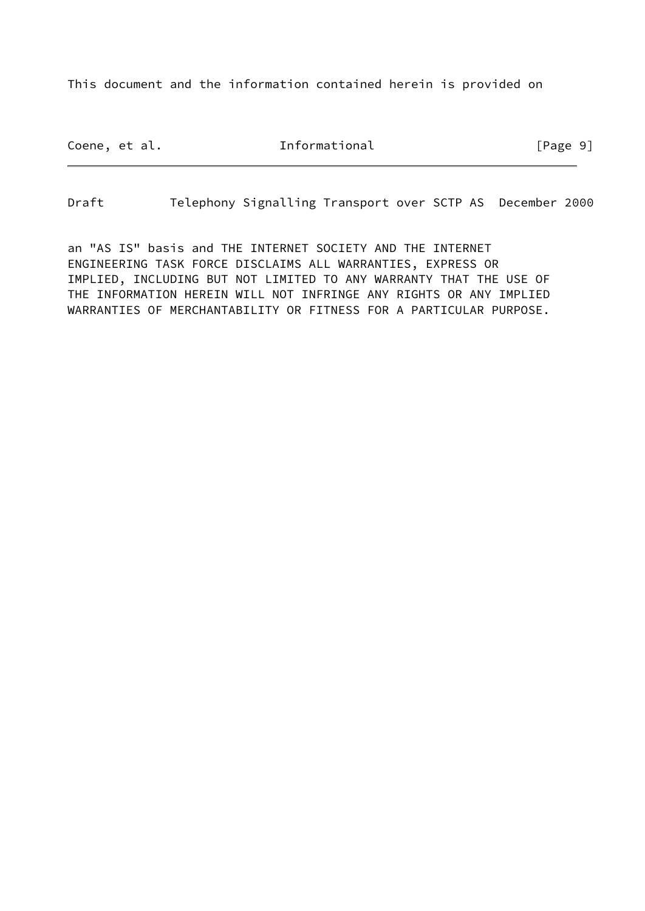This document and the information contained herein is provided on

Coene, et al. The Informational The Informational [Page 9]

Draft Telephony Signalling Transport over SCTP AS December 2000

an "AS IS" basis and THE INTERNET SOCIETY AND THE INTERNET ENGINEERING TASK FORCE DISCLAIMS ALL WARRANTIES, EXPRESS OR IMPLIED, INCLUDING BUT NOT LIMITED TO ANY WARRANTY THAT THE USE OF THE INFORMATION HEREIN WILL NOT INFRINGE ANY RIGHTS OR ANY IMPLIED WARRANTIES OF MERCHANTABILITY OR FITNESS FOR A PARTICULAR PURPOSE.